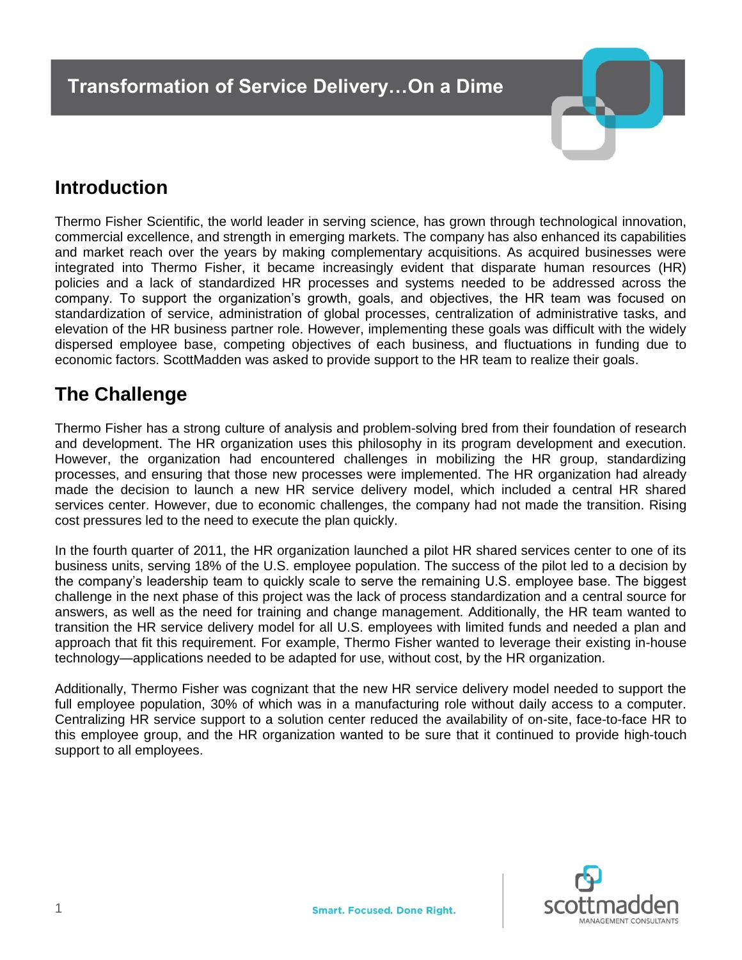

## **Introduction**

Thermo Fisher Scientific, the world leader in serving science, has grown through technological innovation, commercial excellence, and strength in emerging markets. The company has also enhanced its capabilities and market reach over the years by making complementary acquisitions. As acquired businesses were integrated into Thermo Fisher, it became increasingly evident that disparate human resources (HR) policies and a lack of standardized HR processes and systems needed to be addressed across the company. To support the organization's growth, goals, and objectives, the HR team was focused on standardization of service, administration of global processes, centralization of administrative tasks, and elevation of the HR business partner role. However, implementing these goals was difficult with the widely dispersed employee base, competing objectives of each business, and fluctuations in funding due to economic factors. ScottMadden was asked to provide support to the HR team to realize their goals.

## **The Challenge**

Thermo Fisher has a strong culture of analysis and problem-solving bred from their foundation of research and development. The HR organization uses this philosophy in its program development and execution. However, the organization had encountered challenges in mobilizing the HR group, standardizing processes, and ensuring that those new processes were implemented. The HR organization had already made the decision to launch a new HR service delivery model, which included a central HR shared services center. However, due to economic challenges, the company had not made the transition. Rising cost pressures led to the need to execute the plan quickly.

In the fourth quarter of 2011, the HR organization launched a pilot HR shared services center to one of its business units, serving 18% of the U.S. employee population. The success of the pilot led to a decision by the company's leadership team to quickly scale to serve the remaining U.S. employee base. The biggest challenge in the next phase of this project was the lack of process standardization and a central source for answers, as well as the need for training and change management. Additionally, the HR team wanted to transition the HR service delivery model for all U.S. employees with limited funds and needed a plan and approach that fit this requirement. For example, Thermo Fisher wanted to leverage their existing in-house technology—applications needed to be adapted for use, without cost, by the HR organization.

Additionally, Thermo Fisher was cognizant that the new HR service delivery model needed to support the full employee population, 30% of which was in a manufacturing role without daily access to a computer. Centralizing HR service support to a solution center reduced the availability of on-site, face-to-face HR to this employee group, and the HR organization wanted to be sure that it continued to provide high-touch support to all employees.

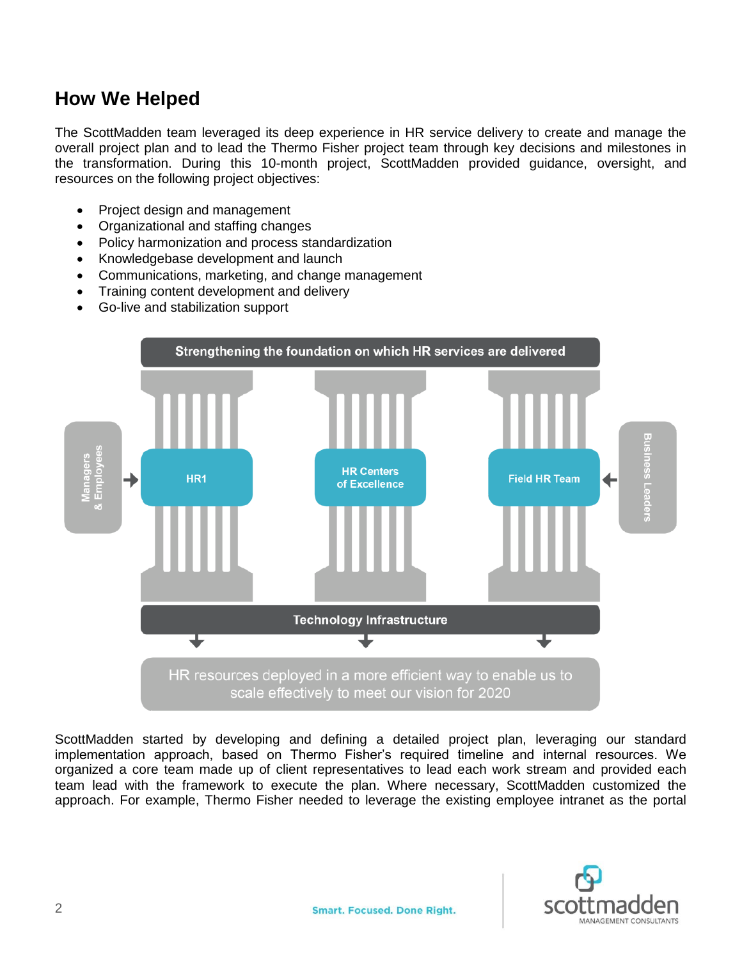## **How We Helped**

The ScottMadden team leveraged its deep experience in HR service delivery to create and manage the overall project plan and to lead the Thermo Fisher project team through key decisions and milestones in the transformation. During this 10-month project, ScottMadden provided guidance, oversight, and resources on the following project objectives:

- Project design and management
- Organizational and staffing changes
- Policy harmonization and process standardization
- Knowledgebase development and launch
- Communications, marketing, and change management
- Training content development and delivery
- Go-live and stabilization support



ScottMadden started by developing and defining a detailed project plan, leveraging our standard implementation approach, based on Thermo Fisher's required timeline and internal resources. We organized a core team made up of client representatives to lead each work stream and provided each team lead with the framework to execute the plan. Where necessary, ScottMadden customized the approach. For example, Thermo Fisher needed to leverage the existing employee intranet as the portal

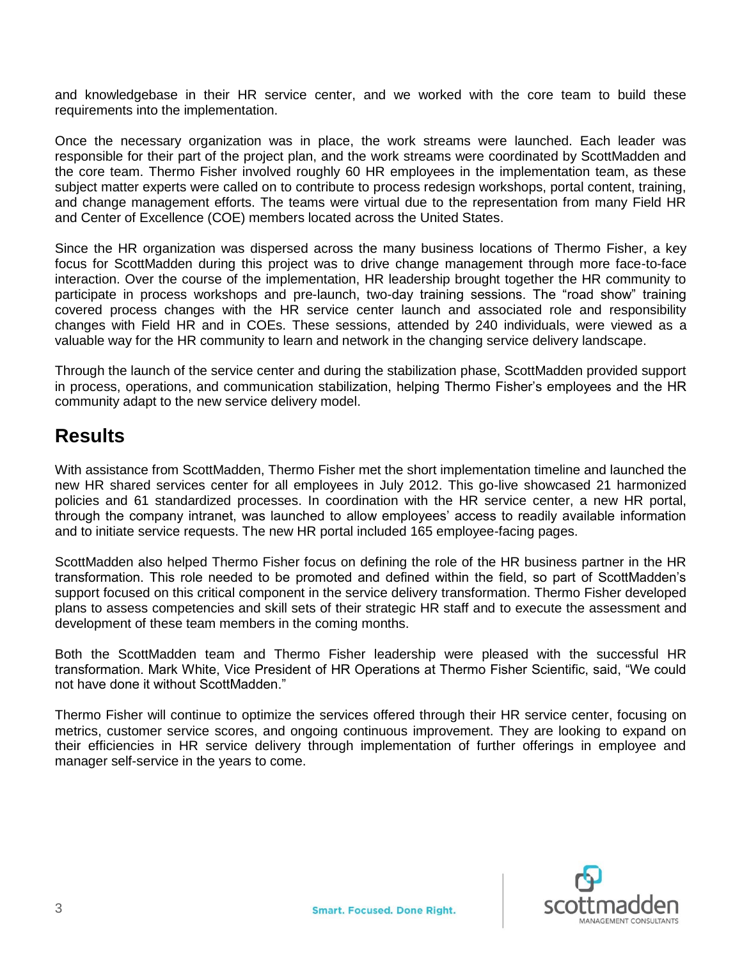and knowledgebase in their HR service center, and we worked with the core team to build these requirements into the implementation.

Once the necessary organization was in place, the work streams were launched. Each leader was responsible for their part of the project plan, and the work streams were coordinated by ScottMadden and the core team. Thermo Fisher involved roughly 60 HR employees in the implementation team, as these subject matter experts were called on to contribute to process redesign workshops, portal content, training, and change management efforts. The teams were virtual due to the representation from many Field HR and Center of Excellence (COE) members located across the United States.

Since the HR organization was dispersed across the many business locations of Thermo Fisher, a key focus for ScottMadden during this project was to drive change management through more face-to-face interaction. Over the course of the implementation, HR leadership brought together the HR community to participate in process workshops and pre-launch, two-day training sessions. The "road show" training covered process changes with the HR service center launch and associated role and responsibility changes with Field HR and in COEs. These sessions, attended by 240 individuals, were viewed as a valuable way for the HR community to learn and network in the changing service delivery landscape.

Through the launch of the service center and during the stabilization phase, ScottMadden provided support in process, operations, and communication stabilization, helping Thermo Fisher's employees and the HR community adapt to the new service delivery model.

## **Results**

With assistance from ScottMadden, Thermo Fisher met the short implementation timeline and launched the new HR shared services center for all employees in July 2012. This go-live showcased 21 harmonized policies and 61 standardized processes. In coordination with the HR service center, a new HR portal, through the company intranet, was launched to allow employees' access to readily available information and to initiate service requests. The new HR portal included 165 employee-facing pages.

ScottMadden also helped Thermo Fisher focus on defining the role of the HR business partner in the HR transformation. This role needed to be promoted and defined within the field, so part of ScottMadden's support focused on this critical component in the service delivery transformation. Thermo Fisher developed plans to assess competencies and skill sets of their strategic HR staff and to execute the assessment and development of these team members in the coming months.

Both the ScottMadden team and Thermo Fisher leadership were pleased with the successful HR transformation. Mark White, Vice President of HR Operations at Thermo Fisher Scientific, said, "We could not have done it without ScottMadden."

Thermo Fisher will continue to optimize the services offered through their HR service center, focusing on metrics, customer service scores, and ongoing continuous improvement. They are looking to expand on their efficiencies in HR service delivery through implementation of further offerings in employee and manager self-service in the years to come.